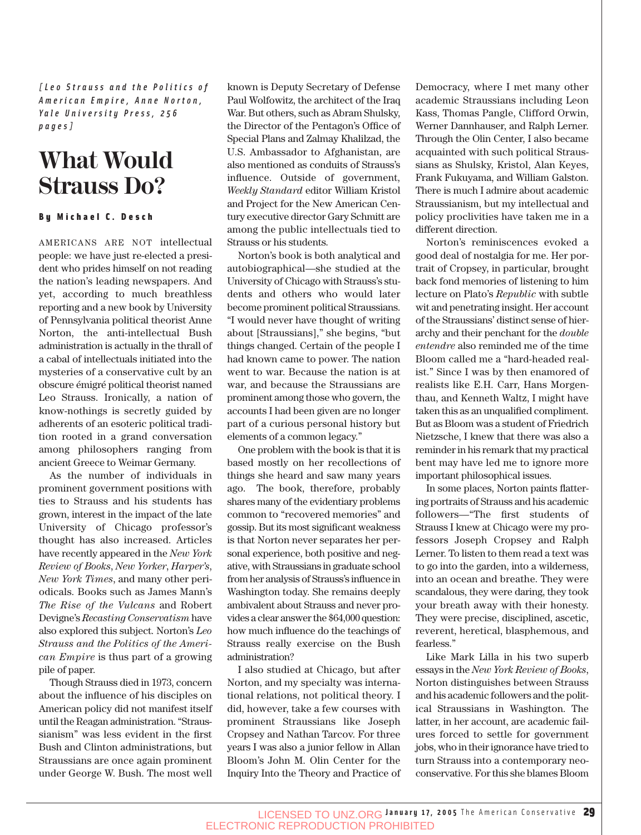*[Leo Strauss and the Politics of American Empire, Anne Norton, Yale University Press, 256 pages]*

## **What Would Strauss Do?**

#### By Michael C. Desch

AMERICANS ARE NOT intellectual people: we have just re-elected a president who prides himself on not reading the nation's leading newspapers. And yet, according to much breathless reporting and a new book by University of Pennsylvania political theorist Anne Norton, the anti-intellectual Bush administration is actually in the thrall of a cabal of intellectuals initiated into the mysteries of a conservative cult by an obscure émigré political theorist named Leo Strauss. Ironically, a nation of know-nothings is secretly guided by adherents of an esoteric political tradition rooted in a grand conversation among philosophers ranging from ancient Greece to Weimar Germany.

As the number of individuals in prominent government positions with ties to Strauss and his students has grown, interest in the impact of the late University of Chicago professor's thought has also increased. Articles have recently appeared in the *New York Review of Books*, *New Yorker*, *Harper's*, *New York Times*, and many other periodicals. Books such as James Mann's *The Rise of the Vulcans* and Robert Devigne's *Recasting Conservatism* have also explored this subject. Norton's *Leo Strauss and the Politics of the American Empire* is thus part of a growing pile of paper.

Though Strauss died in 1973, concern about the influence of his disciples on American policy did not manifest itself until the Reagan administration. "Straussianism" was less evident in the first Bush and Clinton administrations, but Straussians are once again prominent under George W. Bush. The most well known is Deputy Secretary of Defense Paul Wolfowitz, the architect of the Iraq War. But others, such as Abram Shulsky, the Director of the Pentagon's Office of Special Plans and Zalmay Khalilzad, the U.S. Ambassador to Afghanistan, are also mentioned as conduits of Strauss's influence. Outside of government, *Weekly Standard* editor William Kristol and Project for the New American Century executive director Gary Schmitt are among the public intellectuals tied to Strauss or his students.

Norton's book is both analytical and autobiographical—she studied at the University of Chicago with Strauss's students and others who would later become prominent political Straussians. "I would never have thought of writing about [Straussians]," she begins, "but things changed. Certain of the people I had known came to power. The nation went to war. Because the nation is at war, and because the Straussians are prominent among those who govern, the accounts I had been given are no longer part of a curious personal history but elements of a common legacy."

One problem with the book is that it is based mostly on her recollections of things she heard and saw many years ago. The book, therefore, probably shares many of the evidentiary problems common to "recovered memories" and gossip. But its most significant weakness is that Norton never separates her personal experience, both positive and negative, with Straussians in graduate school from her analysis of Strauss's influence in Washington today. She remains deeply ambivalent about Strauss and never provides a clear answer the \$64,000 question: how much influence do the teachings of Strauss really exercise on the Bush administration?

I also studied at Chicago, but after Norton, and my specialty was international relations, not political theory. I did, however, take a few courses with prominent Straussians like Joseph Cropsey and Nathan Tarcov. For three years I was also a junior fellow in Allan Bloom's John M. Olin Center for the Inquiry Into the Theory and Practice of Democracy, where I met many other academic Straussians including Leon Kass, Thomas Pangle, Clifford Orwin, Werner Dannhauser, and Ralph Lerner. Through the Olin Center, I also became acquainted with such political Straussians as Shulsky, Kristol, Alan Keyes, Frank Fukuyama, and William Galston. There is much I admire about academic Straussianism, but my intellectual and policy proclivities have taken me in a different direction.

Norton's reminiscences evoked a good deal of nostalgia for me. Her portrait of Cropsey, in particular, brought back fond memories of listening to him lecture on Plato's *Republic* with subtle wit and penetrating insight. Her account of the Straussians' distinct sense of hierarchy and their penchant for the *double entendre* also reminded me of the time Bloom called me a "hard-headed realist." Since I was by then enamored of realists like E.H. Carr, Hans Morgenthau, and Kenneth Waltz, I might have taken this as an unqualified compliment. But as Bloom was a student of Friedrich Nietzsche, I knew that there was also a reminder in his remark that my practical bent may have led me to ignore more important philosophical issues.

In some places, Norton paints flattering portraits of Strauss and his academic followers—"The first students of Strauss I knew at Chicago were my professors Joseph Cropsey and Ralph Lerner. To listen to them read a text was to go into the garden, into a wilderness, into an ocean and breathe. They were scandalous, they were daring, they took your breath away with their honesty. They were precise, disciplined, ascetic, reverent, heretical, blasphemous, and fearless."

Like Mark Lilla in his two superb essays in the *New York Review of Books*, Norton distinguishes between Strauss and his academic followers and the political Straussians in Washington. The latter, in her account, are academic failures forced to settle for government jobs, who in their ignorance have tried to turn Strauss into a contemporary neoconservative. For this she blames Bloom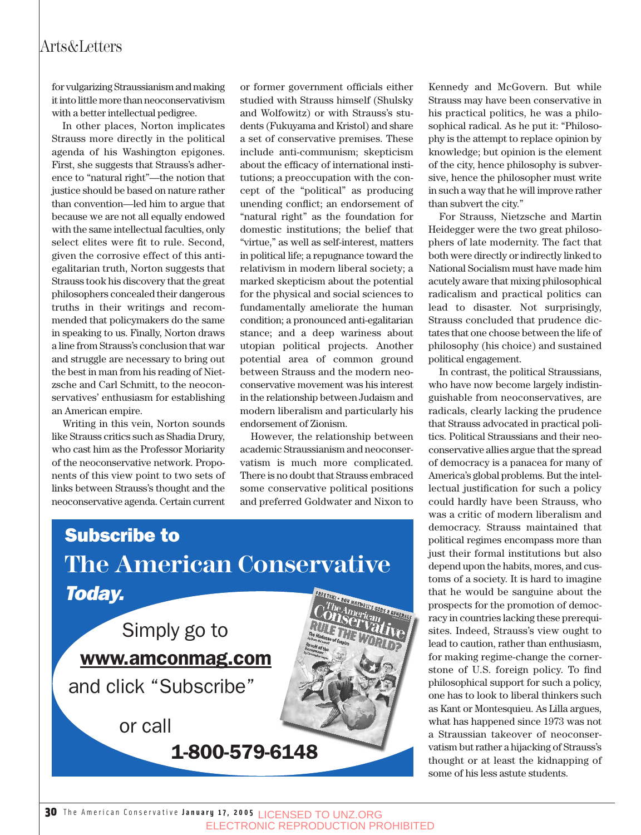### Arts&Letters

for vulgarizing Straussianism and making it into little more than neoconservativism with a better intellectual pedigree.

In other places, Norton implicates Strauss more directly in the political agenda of his Washington epigones. First, she suggests that Strauss's adherence to "natural right"—the notion that justice should be based on nature rather than convention—led him to argue that because we are not all equally endowed with the same intellectual faculties, only select elites were fit to rule. Second, given the corrosive effect of this antiegalitarian truth, Norton suggests that Strauss took his discovery that the great philosophers concealed their dangerous truths in their writings and recommended that policymakers do the same in speaking to us. Finally, Norton draws a line from Strauss's conclusion that war and struggle are necessary to bring out the best in man from his reading of Nietzsche and Carl Schmitt, to the neoconservatives' enthusiasm for establishing an American empire.

Writing in this vein, Norton sounds like Strauss critics such as Shadia Drury, who cast him as the Professor Moriarity of the neoconservative network. Proponents of this view point to two sets of links between Strauss's thought and the neoconservative agenda. Certain current

or former government officials either studied with Strauss himself (Shulsky and Wolfowitz) or with Strauss's students (Fukuyama and Kristol) and share a set of conservative premises. These include anti-communism; skepticism about the efficacy of international institutions; a preoccupation with the concept of the "political" as producing unending conflict; an endorsement of "natural right" as the foundation for domestic institutions; the belief that "virtue," as well as self-interest, matters in political life; a repugnance toward the relativism in modern liberal society; a marked skepticism about the potential for the physical and social sciences to fundamentally ameliorate the human condition; a pronounced anti-egalitarian stance; and a deep wariness about utopian political projects. Another potential area of common ground between Strauss and the modern neoconservative movement was his interest in the relationship between Judaism and modern liberalism and particularly his endorsement of Zionism.

However, the relationship between academic Straussianism and neoconservatism is much more complicated. There is no doubt that Strauss embraced some conservative political positions and preferred Goldwater and Nixon to



Kennedy and McGovern. But while Strauss may have been conservative in his practical politics, he was a philosophical radical. As he put it: "Philosophy is the attempt to replace opinion by knowledge; but opinion is the element of the city, hence philosophy is subversive, hence the philosopher must write in such a way that he will improve rather than subvert the city."

For Strauss, Nietzsche and Martin Heidegger were the two great philosophers of late modernity. The fact that both were directly or indirectly linked to National Socialism must have made him acutely aware that mixing philosophical radicalism and practical politics can lead to disaster. Not surprisingly, Strauss concluded that prudence dictates that one choose between the life of philosophy (his choice) and sustained political engagement.

In contrast, the political Straussians, who have now become largely indistinguishable from neoconservatives, are radicals, clearly lacking the prudence that Strauss advocated in practical politics. Political Straussians and their neoconservative allies argue that the spread of democracy is a panacea for many of America's global problems. But the intellectual justification for such a policy could hardly have been Strauss, who was a critic of modern liberalism and democracy. Strauss maintained that political regimes encompass more than just their formal institutions but also depend upon the habits, mores, and customs of a society. It is hard to imagine that he would be sanguine about the prospects for the promotion of democracy in countries lacking these prerequisites. Indeed, Strauss's view ought to lead to caution, rather than enthusiasm, for making regime-change the cornerstone of U.S. foreign policy. To find philosophical support for such a policy, one has to look to liberal thinkers such as Kant or Montesquieu. As Lilla argues, what has happened since 1973 was not a Straussian takeover of neoconservatism but rather a hijacking of Strauss's thought or at least the kidnapping of some of his less astute students.

30 The American Conservative **January 17, 2005** LICENSED TO UNZ.ORG ELECTRONIC REPRODUCTION PROHIBITED